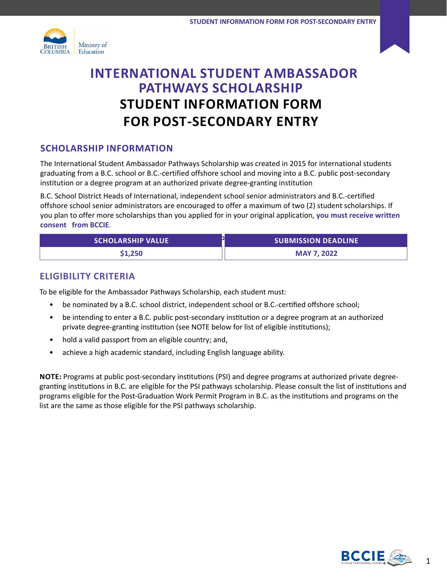



# **INTERNATIONAL STUDENT AMBASSADOR PATHWAYS SCHOLARSHIP STUDENT INFORMATION FORM FOR POST-SECONDARY ENTRY**

## **SCHOLARSHIP INFORMATION**

The International Student Ambassador Pathways Scholarship was created in 2015 for international students graduating from a B.C. school or B.C.-certified offshore school and moving into a B.C. public post-secondary institution or a degree program at an authorized private degree-granting institution

B.C. School District Heads of International, independent school senior administrators and B.C.-certified offshore school senior administrators are encouraged to offer a maximum of two (2) student scholarships. If you plan to offer more scholarships than you applied for in your original application, **you must receive written consent from BCCIE**.

| <b>SCHOLARSHIP VALUE</b> | <b>SUBMISSION DEADLINE</b> |
|--------------------------|----------------------------|
| \$1,250                  | <b>MAY 7, 2022</b>         |

## **ELIGIBILITY CRITERIA**

To be eligible for the Ambassador Pathways Scholarship, each student must:

- be nominated by a B.C. school district, independent school or B.C.-certified offshore school;
- be intending to enter a B.C. public post-secondary institution or a degree program at an authorized private degree-granting institution (see NOTE below for list of eligible institutions);
- hold a valid passport from an eligible country; and,
- achieve a high academic standard, including English language ability.

**NOTE:** Programs at public post-secondary institutions (PSI) and degree programs at authorized private degreegranting institutions in B.C. are eligible for the PSI pathways scholarship. Please consult the list of institutions and programs eligible for the Post-Graduation Work Permit Program in B.C. as the institutions and programs on the list are the same as those eligible for the PSI pathways scholarship.

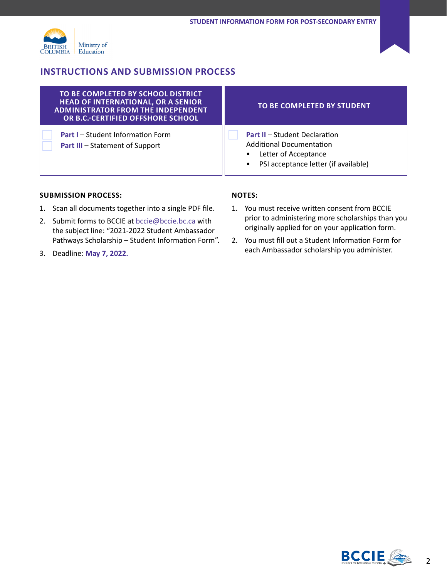

## **INSTRUCTIONS AND SUBMISSION PROCESS**

| TO BE COMPLETED BY SCHOOL DISTRICT<br><b>HEAD OF INTERNATIONAL, OR A SENIOR</b><br><b>ADMINISTRATOR FROM THE INDEPENDENT</b><br>OR B.C.-CERTIFIED OFFSHORE SCHOOL | TO BE COMPLETED BY STUDENT                                                                                                                           |
|-------------------------------------------------------------------------------------------------------------------------------------------------------------------|------------------------------------------------------------------------------------------------------------------------------------------------------|
| <b>Part I</b> - Student Information Form<br><b>Part III - Statement of Support</b>                                                                                | <b>Part II - Student Declaration</b><br><b>Additional Documentation</b><br>Letter of Acceptance<br>PSI acceptance letter (if available)<br>$\bullet$ |

#### **SUBMISSION PROCESS:**

- 1. Scan all documents together into a single PDF file.
- 2. Submit forms to BCCIE at [bccie@bccie.bc.ca](mailto:bccie%40bccie.bc.ca?subject=021-2022%20Student%20Ambassador%20Pathways%20Scholarship%20%E2%80%93%20Student%20Information%20Form) with the subject line: "2021-2022 Student Ambassador Pathways Scholarship – Student Information Form".
- 3. Deadline: **May 7, 2022.**

### **NOTES:**

- 1. You must receive written consent from BCCIE prior to administering more scholarships than you originally applied for on your application form.
- 2. You must fill out a Student Information Form for each Ambassador scholarship you administer.

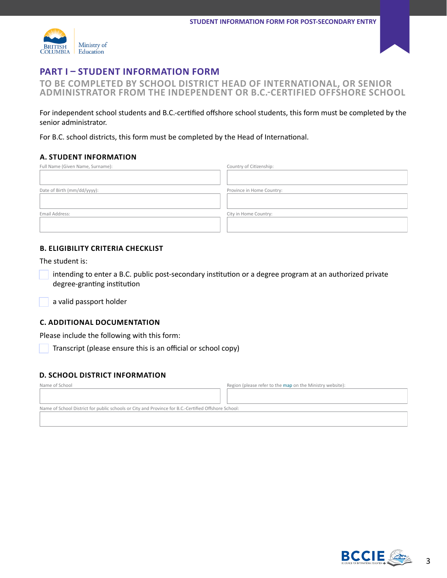



## **PART I – STUDENT INFORMATION FORM**

**TO BE COMPLETED BY SCHOOL DISTRICT HEAD OF INTERNATIONAL, OR SENIOR ADMINISTRATOR FROM THE INDEPENDENT OR B.C.-CERTIFIED OFFSHORE SCHOOL** 

For independent school students and B.C.-certified offshore school students, this form must be completed by the senior administrator.

For B.C. school districts, this form must be completed by the Head of International.

#### **A. STUDENT INFORMATION**

| Full Name (Given Name, Surname): | Country of Citizenship:   |
|----------------------------------|---------------------------|
|                                  |                           |
| Date of Birth (mm/dd/yyyy):      | Province in Home Country: |
|                                  |                           |
| Email Address:                   | City in Home Country:     |
|                                  |                           |
|                                  |                           |

### **B. ELIGIBILITY CRITERIA CHECKLIST**

The student is:

intending to enter a B.C. public post-secondary institution or a degree program at an authorized private degree-granting institution

a valid passport holder

#### **C. ADDITIONAL DOCUMENTATION**

Please include the following with this form:

Transcript (please ensure this is an official or school copy)

#### **D. SCHOOL DISTRICT INFORMATION**

| Name of School                                                                                      | Region (please refer to the map on the Ministry website): |  |
|-----------------------------------------------------------------------------------------------------|-----------------------------------------------------------|--|
|                                                                                                     |                                                           |  |
|                                                                                                     |                                                           |  |
| Name of School District for public schools or City and Province for B.C.-Certified Offshore School: |                                                           |  |
|                                                                                                     |                                                           |  |



3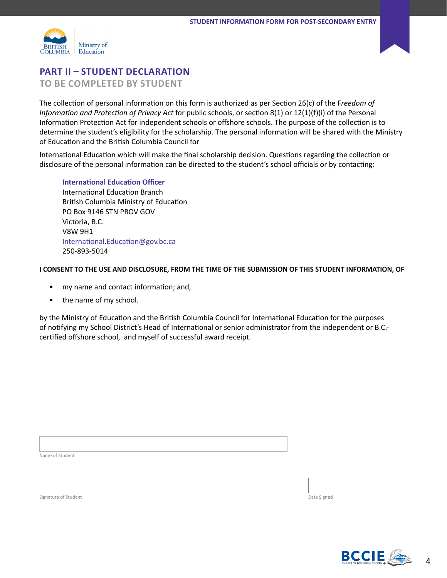



## **PART II – STUDENT DECLARATION**

**TO BE COMPLETED BY STUDENT**

The collection of personal information on this form is authorized as per Section 26(c) of the F*reedom of Information and Protection of Privacy Act* for public schools, or section 8(1) or 12(1)(f)(i) of the Personal Information Protection Act for independent schools or offshore schools. The purpose of the collection is to determine the student's eligibility for the scholarship. The personal information will be shared with the Ministry of Education and the British Columbia Council for

International Education which will make the final scholarship decision. Questions regarding the collection or disclosure of the personal information can be directed to the student's school officials or by contacting:

**International Education Officer** International Education Branch British Columbia Ministry of Education PO Box 9146 STN PROV GOV Victoria, B.C. V8W 9H1 [International.Education@gov.bc.ca](mailto:International.Education%40gov.bc.ca%0D?subject=) 250-893-5014

#### **I CONSENT TO THE USE AND DISCLOSURE, FROM THE TIME OF THE SUBMISSION OF THIS STUDENT INFORMATION, OF**

- my name and contact information; and,
- the name of my school.

by the Ministry of Education and the British Columbia Council for International Education for the purposes of notifying my School District's Head of International or senior administrator from the independent or B.C. certified offshore school, and myself of successful award receipt.

Name of Student

**Signature of Student Date Signed** Date Signed Control of Student Date Signed Date Signed Date Signed Date Signed